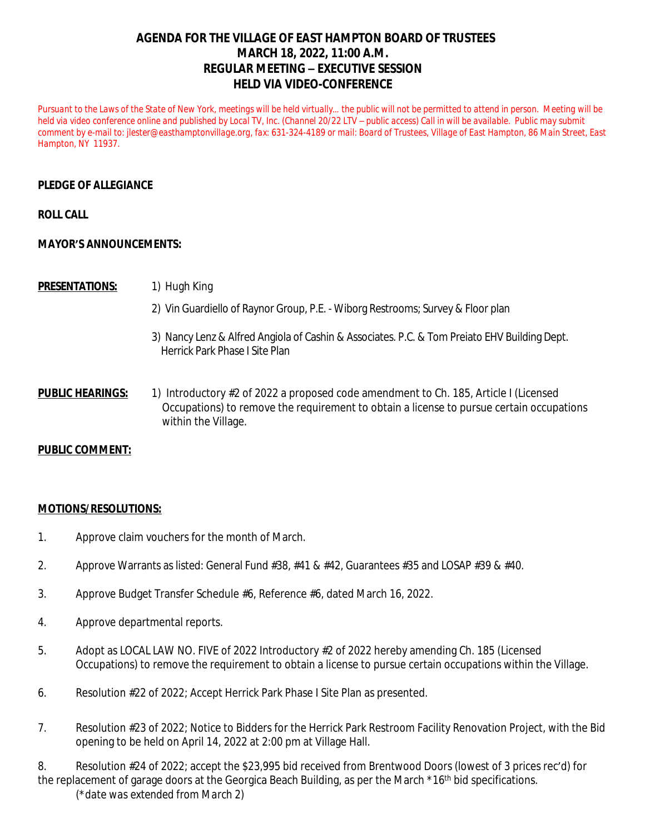# **AGENDA FOR THE VILLAGE OF EAST HAMPTON BOARD OF TRUSTEES MARCH 18, 2022, 11:00 A.M. REGULAR MEETING – EXECUTIVE SESSION HELD VIA VIDEO-CONFERENCE**

Pursuant to the Laws of the State of New York, meetings will be held virtually... the public will not be permitted to attend in person. Meeting will be *held via video conference online and published by Local TV, Inc. (Channel 20/22 LTV – public access) Call in will be available. Public may submit comment by e-mail to: [jlester@easthamptonvillage.org,](mailto:jlester@easthamptonvillage.org) fax: 631-324-4189 or mail: Board of Trustees, Village of East Hampton, 86 Main Street, East Hampton, NY 11937.*

### **PLEDGE OF ALLEGIANCE**

#### **ROLL CALL**

#### **MAYOR'S ANNOUNCEMENTS:**

#### **PRESENTATIONS:** 1) Hugh King

- 2) Vin Guardiello of Raynor Group, P.E. Wiborg Restrooms; Survey & Floor plan
- 3) Nancy Lenz & Alfred Angiola of Cashin & Associates. P.C. & Tom Preiato EHV Building Dept. Herrick Park Phase I Site Plan
- **PUBLIC HEARINGS:** 1) Introductory #2 of 2022 a proposed code amendment to Ch. 185, Article I (Licensed Occupations) to remove the requirement to obtain a license to pursue certain occupations within the Village.

## **PUBLIC COMMENT:**

#### **MOTIONS/RESOLUTIONS:**

- 1. Approve claim vouchers for the month of March.
- 2. Approve Warrants as listed: General Fund #38, #41 & #42, Guarantees #35 and LOSAP #39 & #40.
- 3. Approve Budget Transfer Schedule #6, Reference #6, dated March 16, 2022.
- 4. Approve departmental reports.
- 5. Adopt as LOCAL LAW NO. FIVE of 2022 Introductory #2 of 2022 hereby amending Ch. 185 (Licensed Occupations) to remove the requirement to obtain a license to pursue certain occupations within the Village.
- 6. Resolution #22 of 2022; Accept Herrick Park Phase I Site Plan as presented.
- 7. Resolution #23 of 2022; Notice to Bidders for the Herrick Park Restroom Facility Renovation Project, with the Bid opening to be held on April 14, 2022 at 2:00 pm at Village Hall.
- 8. Resolution #24 of 2022; accept the \$23,995 bid received from Brentwood Doors (lowest of 3 prices rec'd) for the replacement of garage doors at the Georgica Beach Building, as per the March \*16<sup>th</sup> bid specifications. (\**date was extended from March 2*)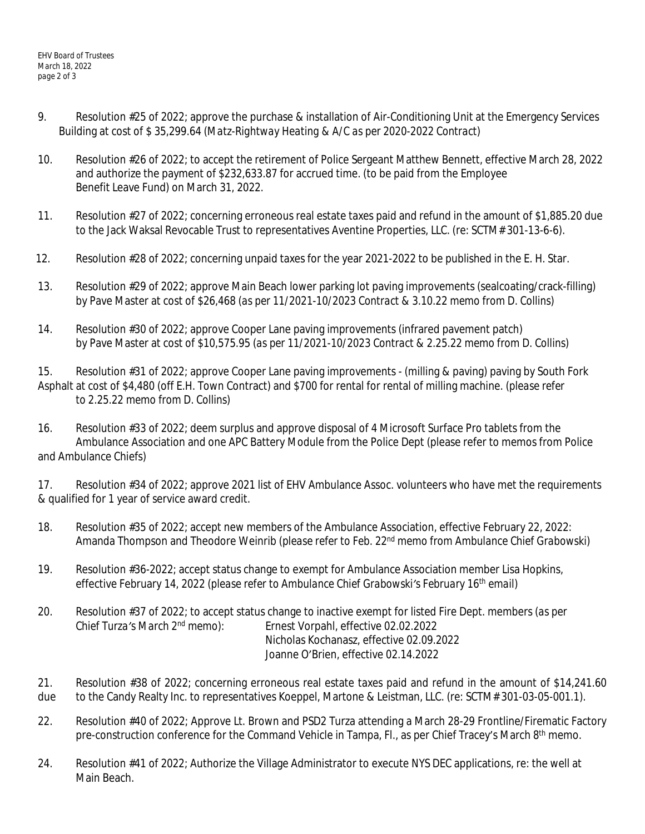- 9. Resolution #25 of 2022; approve the purchase & installation of Air-Conditioning Unit at the Emergency Services Building at cost of \$ 35,299.64 *(Matz-Rightway Heating & A/C as per 2020-2022 Contract*)
- 10. Resolution #26 of 2022; to accept the retirement of Police Sergeant Matthew Bennett, effective March 28, 2022 and authorize the payment of \$232,633.87 for accrued time. (to be paid from the Employee Benefit Leave Fund) on March 31, 2022.
- 11. Resolution #27 of 2022; concerning erroneous real estate taxes paid and refund in the amount of \$1,885.20 due to the Jack Waksal Revocable Trust to representatives Aventine Properties, LLC. (re: SCTM# 301-13-6-6).
- 12. Resolution #28 of 2022; concerning unpaid taxes for the year 2021-2022 to be published in the E. H. Star.
- 13. Resolution #29 of 2022; approve Main Beach lower parking lot paving improvements (sealcoating/crack-filling) by Pave Master at cost of \$26,468 (*as per 11/2021-10/2023 Contract & 3.10.22 memo from D. Collins*)
- 14. Resolution #30 of 2022; approve Cooper Lane paving improvements (infrared pavement patch) by Pave Master at cost of \$10,575.95 (*as per 11/2021-10/2023 Contract & 2.25.22 memo from D. Collins*)

15. Resolution #31 of 2022; approve Cooper Lane paving improvements - (milling & paving) paving by South Fork Asphalt at cost of \$4,480 (off E.H. Town Contract) and \$700 for rental for rental of milling machine. *(please refer to 2.25.22 memo from D. Collins)*

16. Resolution #33 of 2022; deem surplus and approve disposal of 4 Microsoft Surface Pro tablets from the Ambulance Association and one APC Battery Module from the Police Dept (please refer to memos from Police and Ambulance Chiefs)

17. Resolution #34 of 2022; approve 2021 list of EHV Ambulance Assoc. volunteers who have met the requirements & qualified for 1 year of service award credit.

- 18. Resolution #35 of 2022; accept new members of the Ambulance Association, effective February 22, 2022: Amanda Thompson and Theodore Weinrib (*please refer to Feb. 22nd memo from Ambulance Chief Grabowski)*
- 19. Resolution #36-2022; accept status change to exempt for Ambulance Association member Lisa Hopkins, effective February 14, 2022 (*please refer to Ambulance Chief Grabowski's February 16th email*)
- 20. Resolution #37 of 2022; to accept status change to inactive exempt for listed Fire Dept. members *(as per Chief Turza's March 2nd memo):* Ernest Vorpahl, effective 02.02.2022 Nicholas Kochanasz, effective 02.09.2022 Joanne O'Brien, effective 02.14.2022
- 21. Resolution #38 of 2022; concerning erroneous real estate taxes paid and refund in the amount of \$14,241.60 due to the Candy Realty Inc. to representatives Koeppel, Martone & Leistman, LLC. (re: SCTM# 301-03-05-001.1).
- 22. Resolution #40 of 2022; Approve Lt. Brown and PSD2 Turza attending a March 28-29 Frontline/Firematic Factory pre-construction conference for the Command Vehicle in Tampa, Fl., as per Chief Tracey's March 8<sup>th</sup> memo.
- 24. Resolution #41 of 2022; Authorize the Village Administrator to execute NYS DEC applications, re: the well at Main Beach.